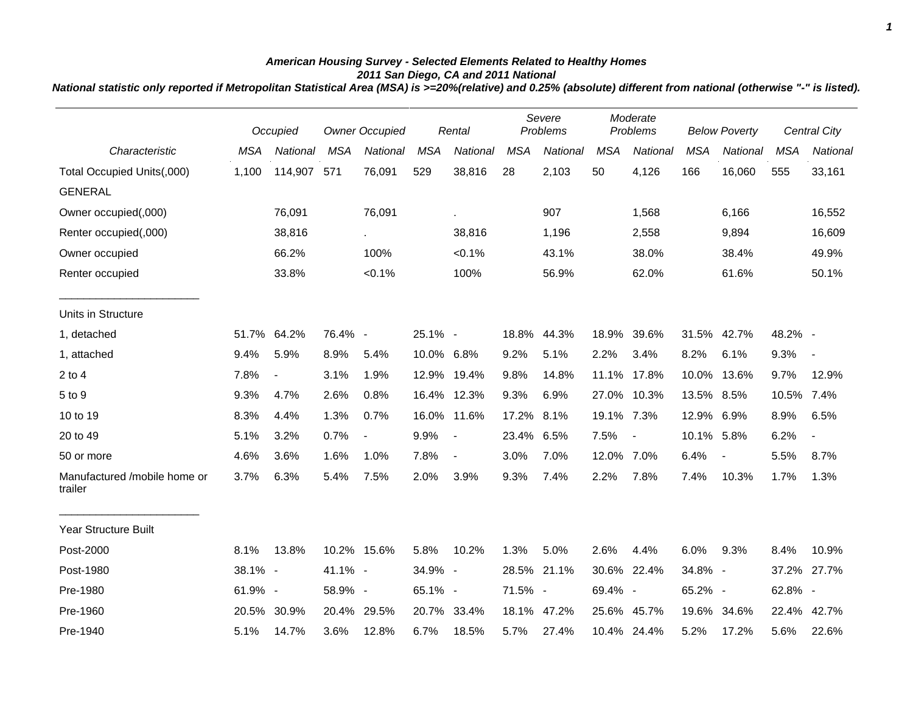## *American Housing Survey - Selected Elements Related to Healthy Homes 2011 San Diego, CA and 2011 National*

*National statistic only reported if Metropolitan Statistical Area (MSA) is >=20%(relative) and 0.25% (absolute) different from national (otherwise "-" is listed).*

|                                         | Occupied   |                          | <b>Owner Occupied</b> |                          | Rental     |                          | Severe<br>Problems |             | Moderate<br>Problems |                | <b>Below Poverty</b> |                          | Central City |                          |
|-----------------------------------------|------------|--------------------------|-----------------------|--------------------------|------------|--------------------------|--------------------|-------------|----------------------|----------------|----------------------|--------------------------|--------------|--------------------------|
| Characteristic                          | <b>MSA</b> | National                 | <b>MSA</b>            | National                 | <b>MSA</b> | National                 | <b>MSA</b>         | National    | <b>MSA</b>           | National       | <b>MSA</b>           | National                 | <b>MSA</b>   | National                 |
| Total Occupied Units(,000)              | 1,100      | 114,907 571              |                       | 76,091                   | 529        | 38,816                   | 28                 | 2,103       | 50                   | 4,126          | 166                  | 16,060                   | 555          | 33,161                   |
| <b>GENERAL</b>                          |            |                          |                       |                          |            |                          |                    |             |                      |                |                      |                          |              |                          |
| Owner occupied(,000)                    |            | 76,091                   |                       | 76,091                   |            | à.                       |                    | 907         |                      | 1,568          |                      | 6,166                    |              | 16,552                   |
| Renter occupied(,000)                   |            | 38,816                   |                       | $\sim$                   |            | 38,816                   |                    | 1,196       |                      | 2,558          |                      | 9,894                    |              | 16,609                   |
| Owner occupied                          |            | 66.2%                    |                       | 100%                     |            | $< 0.1\%$                |                    | 43.1%       |                      | 38.0%          |                      | 38.4%                    |              | 49.9%                    |
| Renter occupied                         |            | 33.8%                    |                       | $< 0.1\%$                |            | 100%                     |                    | 56.9%       |                      | 62.0%          |                      | 61.6%                    |              | 50.1%                    |
| Units in Structure                      |            |                          |                       |                          |            |                          |                    |             |                      |                |                      |                          |              |                          |
| 1, detached                             | 51.7%      | 64.2%                    | 76.4% -               |                          | 25.1% -    |                          | 18.8%              | 44.3%       | 18.9%                | 39.6%          |                      | 31.5% 42.7%              | 48.2% -      |                          |
| 1, attached                             | 9.4%       | 5.9%                     | 8.9%                  | 5.4%                     | 10.0% 6.8% |                          | 9.2%               | 5.1%        | 2.2%                 | 3.4%           | 8.2%                 | 6.1%                     | 9.3%         | $\overline{\phantom{a}}$ |
| $2$ to $4$                              | 7.8%       | $\overline{\phantom{a}}$ | 3.1%                  | 1.9%                     |            | 12.9% 19.4%              | 9.8%               | 14.8%       | 11.1%                | 17.8%          |                      | 10.0% 13.6%              | 9.7%         | 12.9%                    |
| 5 to 9                                  | 9.3%       | 4.7%                     | 2.6%                  | 0.8%                     |            | 16.4% 12.3%              | 9.3%               | 6.9%        |                      | 27.0% 10.3%    | 13.5% 8.5%           |                          | 10.5%        | 7.4%                     |
| 10 to 19                                | 8.3%       | 4.4%                     | 1.3%                  | 0.7%                     |            | 16.0% 11.6%              | 17.2% 8.1%         |             | 19.1% 7.3%           |                | 12.9% 6.9%           |                          | 8.9%         | 6.5%                     |
| 20 to 49                                | 5.1%       | 3.2%                     | 0.7%                  | $\overline{\phantom{a}}$ | 9.9%       | $\overline{\phantom{a}}$ | 23.4% 6.5%         |             | 7.5%                 | $\blacksquare$ | 10.1% 5.8%           |                          | 6.2%         | $\overline{\phantom{a}}$ |
| 50 or more                              | 4.6%       | 3.6%                     | 1.6%                  | 1.0%                     | 7.8%       | $\blacksquare$           | 3.0%               | 7.0%        | 12.0%                | 7.0%           | 6.4%                 | $\overline{\phantom{a}}$ | 5.5%         | 8.7%                     |
| Manufactured /mobile home or<br>trailer | 3.7%       | 6.3%                     | 5.4%                  | 7.5%                     | 2.0%       | 3.9%                     | 9.3%               | 7.4%        | 2.2%                 | 7.8%           | 7.4%                 | 10.3%                    | 1.7%         | 1.3%                     |
| <b>Year Structure Built</b>             |            |                          |                       |                          |            |                          |                    |             |                      |                |                      |                          |              |                          |
| Post-2000                               | 8.1%       | 13.8%                    |                       | 10.2% 15.6%              | 5.8%       | 10.2%                    | 1.3%               | 5.0%        | 2.6%                 | 4.4%           | 6.0%                 | 9.3%                     | 8.4%         | 10.9%                    |
| Post-1980                               | 38.1% -    |                          | 41.1% -               |                          | 34.9% -    |                          |                    | 28.5% 21.1% | 30.6%                | 22.4%          | 34.8% -              |                          | 37.2%        | 27.7%                    |
| Pre-1980                                | 61.9% -    |                          | 58.9% -               |                          | 65.1% -    |                          | 71.5% -            |             | 69.4% -              |                | 65.2% -              |                          | 62.8% -      |                          |
| Pre-1960                                | 20.5%      | 30.9%                    |                       | 20.4% 29.5%              |            | 20.7% 33.4%              |                    | 18.1% 47.2% |                      | 25.6% 45.7%    | 19.6%                | 34.6%                    | 22.4%        | 42.7%                    |
| Pre-1940                                | 5.1%       | 14.7%                    | 3.6%                  | 12.8%                    | 6.7%       | 18.5%                    | 5.7%               | 27.4%       |                      | 10.4% 24.4%    | 5.2%                 | 17.2%                    | 5.6%         | 22.6%                    |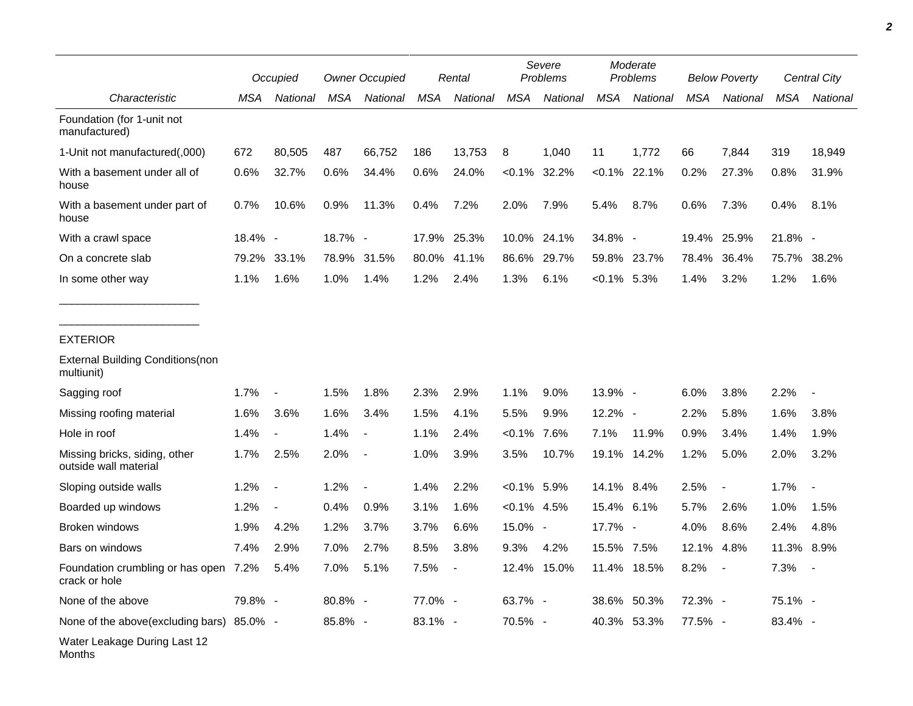|                                                        |         | Occupied                 | <b>Owner Occupied</b> |                          | Rental  |                          | Severe<br>Problems |             | Moderate<br>Problems |                 | <b>Below Poverty</b> |                          | Central City |                          |
|--------------------------------------------------------|---------|--------------------------|-----------------------|--------------------------|---------|--------------------------|--------------------|-------------|----------------------|-----------------|----------------------|--------------------------|--------------|--------------------------|
| Characteristic                                         | MSA     | National                 | MSA                   | National                 | MSA     | National                 | MSA                | National    | MSA                  | National        | MSA                  | National                 | MSA          | National                 |
| Foundation (for 1-unit not<br>manufactured)            |         |                          |                       |                          |         |                          |                    |             |                      |                 |                      |                          |              |                          |
| 1-Unit not manufactured(,000)                          | 672     | 80,505                   | 487                   | 66,752                   | 186     | 13,753                   | 8                  | 1,040       | 11                   | 1.772           | 66                   | 7,844                    | 319          | 18,949                   |
| With a basement under all of<br>house                  | 0.6%    | 32.7%                    | 0.6%                  | 34.4%                    | 0.6%    | 24.0%                    | $< 0.1\%$          | 32.2%       |                      | $< 0.1\%$ 22.1% | 0.2%                 | 27.3%                    | 0.8%         | 31.9%                    |
| With a basement under part of<br>house                 | 0.7%    | 10.6%                    | 0.9%                  | 11.3%                    | 0.4%    | 7.2%                     | 2.0%               | 7.9%        | 5.4%                 | 8.7%            | 0.6%                 | 7.3%                     | 0.4%         | 8.1%                     |
| With a crawl space                                     | 18.4% - |                          | 18.7% -               |                          | 17.9%   | 25.3%                    |                    | 10.0% 24.1% | 34.8% -              |                 | 19.4%                | 25.9%                    | $21.8\%$ -   |                          |
| On a concrete slab                                     | 79.2%   | 33.1%                    | 78.9%                 | 31.5%                    | 80.0%   | 41.1%                    | 86.6%              | 29.7%       |                      | 59.8% 23.7%     | 78.4%                | 36.4%                    | 75.7%        | 38.2%                    |
| In some other way                                      | 1.1%    | 1.6%                     | 1.0%                  | 1.4%                     | 1.2%    | 2.4%                     | 1.3%               | 6.1%        | $< 0.1\%$ 5.3%       |                 | 1.4%                 | 3.2%                     | 1.2%         | 1.6%                     |
| <b>EXTERIOR</b>                                        |         |                          |                       |                          |         |                          |                    |             |                      |                 |                      |                          |              |                          |
| <b>External Building Conditions (non</b><br>multiunit) |         |                          |                       |                          |         |                          |                    |             |                      |                 |                      |                          |              |                          |
| Sagging roof                                           | 1.7%    | $\overline{\phantom{a}}$ | 1.5%                  | 1.8%                     | 2.3%    | 2.9%                     | 1.1%               | 9.0%        | 13.9% -              |                 | 6.0%                 | 3.8%                     | 2.2%         |                          |
| Missing roofing material                               | 1.6%    | 3.6%                     | 1.6%                  | 3.4%                     | 1.5%    | 4.1%                     | 5.5%               | 9.9%        | 12.2% -              |                 | 2.2%                 | 5.8%                     | 1.6%         | 3.8%                     |
| Hole in roof                                           | 1.4%    | $\overline{\phantom{a}}$ | 1.4%                  | $\overline{\phantom{a}}$ | 1.1%    | 2.4%                     | $<0.1\%$           | 7.6%        | 7.1%                 | 11.9%           | 0.9%                 | 3.4%                     | 1.4%         | 1.9%                     |
| Missing bricks, siding, other<br>outside wall material | 1.7%    | 2.5%                     | 2.0%                  | $\overline{\phantom{a}}$ | 1.0%    | 3.9%                     | 3.5%               | 10.7%       |                      | 19.1% 14.2%     | 1.2%                 | 5.0%                     | 2.0%         | 3.2%                     |
| Sloping outside walls                                  | 1.2%    | $\overline{\phantom{a}}$ | 1.2%                  |                          | 1.4%    | 2.2%                     | $<0.1\%$ 5.9%      |             | 14.1% 8.4%           |                 | 2.5%                 | $\overline{\phantom{a}}$ | 1.7%         |                          |
| Boarded up windows                                     | 1.2%    | $\blacksquare$           | 0.4%                  | 0.9%                     | 3.1%    | 1.6%                     | $< 0.1\%$ 4.5%     |             | 15.4% 6.1%           |                 | 5.7%                 | 2.6%                     | 1.0%         | 1.5%                     |
| <b>Broken windows</b>                                  | 1.9%    | 4.2%                     | 1.2%                  | 3.7%                     | 3.7%    | 6.6%                     | 15.0% -            |             | 17.7% -              |                 | 4.0%                 | 8.6%                     | 2.4%         | 4.8%                     |
| Bars on windows                                        | 7.4%    | 2.9%                     | 7.0%                  | 2.7%                     | 8.5%    | 3.8%                     | 9.3%               | 4.2%        | 15.5% 7.5%           |                 | 12.1%                | 4.8%                     | 11.3%        | 8.9%                     |
| Foundation crumbling or has open 7.2%<br>crack or hole |         | 5.4%                     | 7.0%                  | 5.1%                     | 7.5%    | $\overline{\phantom{a}}$ |                    | 12.4% 15.0% | 11.4%                | 18.5%           | 8.2%                 | $\overline{\phantom{a}}$ | 7.3%         | $\overline{\phantom{a}}$ |
| None of the above                                      | 79.8% - |                          | 80.8% -               |                          | 77.0% - |                          | 63.7% -            |             | 38.6%                | 50.3%           | 72.3% -              |                          | 75.1% -      |                          |
| None of the above(excluding bars) 85.0% -              |         |                          | 85.8% -               |                          | 83.1% - |                          | 70.5% -            |             |                      | 40.3% 53.3%     | 77.5% -              |                          | 83.4% -      |                          |
| Water Leakage During Last 12                           |         |                          |                       |                          |         |                          |                    |             |                      |                 |                      |                          |              |                          |

Months

٠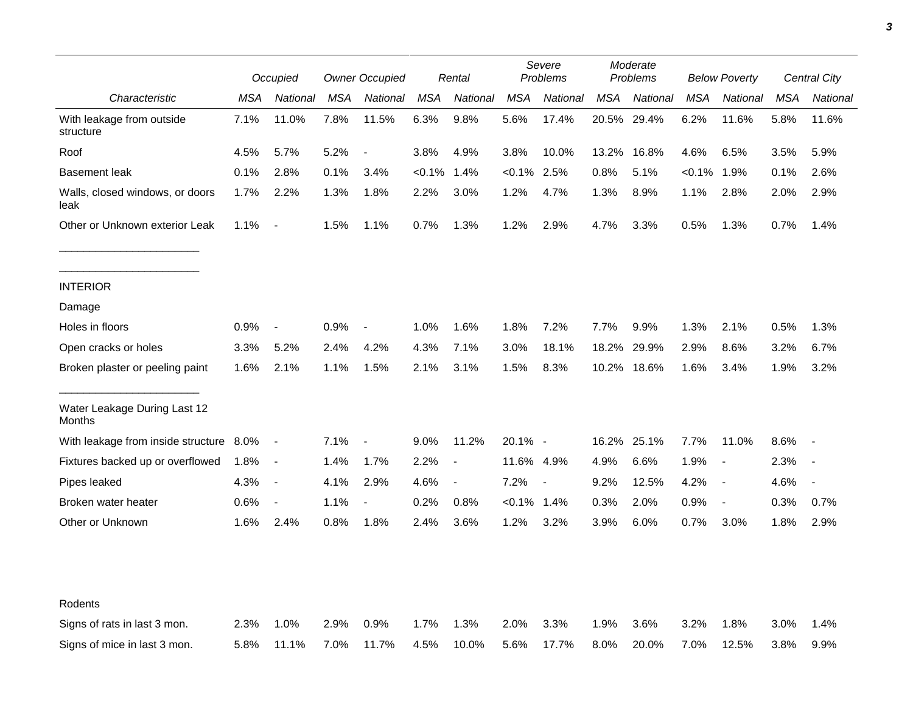|                                         |      | Occupied                 |            | <b>Owner Occupied</b>    |            | Rental                   |            | Severe<br>Problems       |            | Moderate<br>Problems |            | <b>Below Poverty</b>     |            | Central City |  |
|-----------------------------------------|------|--------------------------|------------|--------------------------|------------|--------------------------|------------|--------------------------|------------|----------------------|------------|--------------------------|------------|--------------|--|
| Characteristic                          | MSA  | National                 | <b>MSA</b> | National                 | <b>MSA</b> | National                 | <b>MSA</b> | National                 | <b>MSA</b> | National             | <b>MSA</b> | National                 | <b>MSA</b> | National     |  |
| With leakage from outside<br>structure  | 7.1% | 11.0%                    | 7.8%       | 11.5%                    | 6.3%       | 9.8%                     | 5.6%       | 17.4%                    | 20.5%      | 29.4%                | 6.2%       | 11.6%                    | 5.8%       | 11.6%        |  |
| Roof                                    | 4.5% | 5.7%                     | 5.2%       | $\overline{\phantom{a}}$ | 3.8%       | 4.9%                     | 3.8%       | 10.0%                    | 13.2%      | 16.8%                | 4.6%       | 6.5%                     | 3.5%       | 5.9%         |  |
| <b>Basement leak</b>                    | 0.1% | 2.8%                     | 0.1%       | 3.4%                     | $< 0.1\%$  | 1.4%                     | $<0.1\%$   | 2.5%                     | 0.8%       | 5.1%                 | <0.1%      | 1.9%                     | 0.1%       | 2.6%         |  |
| Walls, closed windows, or doors<br>leak | 1.7% | 2.2%                     | 1.3%       | 1.8%                     | 2.2%       | 3.0%                     | 1.2%       | 4.7%                     | 1.3%       | 8.9%                 | 1.1%       | 2.8%                     | 2.0%       | 2.9%         |  |
| Other or Unknown exterior Leak          | 1.1% | $\blacksquare$           | 1.5%       | 1.1%                     | 0.7%       | 1.3%                     | 1.2%       | 2.9%                     | 4.7%       | 3.3%                 | 0.5%       | 1.3%                     | 0.7%       | 1.4%         |  |
| <b>INTERIOR</b>                         |      |                          |            |                          |            |                          |            |                          |            |                      |            |                          |            |              |  |
| Damage                                  |      |                          |            |                          |            |                          |            |                          |            |                      |            |                          |            |              |  |
| Holes in floors                         | 0.9% | $\overline{\phantom{a}}$ | 0.9%       | $\overline{\phantom{a}}$ | 1.0%       | 1.6%                     | 1.8%       | 7.2%                     | 7.7%       | 9.9%                 | 1.3%       | 2.1%                     | 0.5%       | 1.3%         |  |
| Open cracks or holes                    | 3.3% | 5.2%                     | 2.4%       | 4.2%                     | 4.3%       | 7.1%                     | 3.0%       | 18.1%                    | 18.2%      | 29.9%                | 2.9%       | 8.6%                     | 3.2%       | 6.7%         |  |
| Broken plaster or peeling paint         | 1.6% | 2.1%                     | 1.1%       | 1.5%                     | 2.1%       | 3.1%                     | 1.5%       | 8.3%                     | 10.2%      | 18.6%                | 1.6%       | 3.4%                     | 1.9%       | 3.2%         |  |
| Water Leakage During Last 12<br>Months  |      |                          |            |                          |            |                          |            |                          |            |                      |            |                          |            |              |  |
| With leakage from inside structure 8.0% |      | $\blacksquare$           | 7.1%       | $\overline{\phantom{a}}$ | 9.0%       | 11.2%                    | 20.1% -    |                          | 16.2%      | 25.1%                | 7.7%       | 11.0%                    | 8.6%       |              |  |
| Fixtures backed up or overflowed        | 1.8% | $\overline{\phantom{a}}$ | 1.4%       | 1.7%                     | 2.2%       | $\overline{\phantom{a}}$ | 11.6%      | 4.9%                     | 4.9%       | 6.6%                 | 1.9%       | $\overline{\phantom{a}}$ | 2.3%       |              |  |
| Pipes leaked                            | 4.3% | $\overline{\phantom{a}}$ | 4.1%       | 2.9%                     | 4.6%       | $\blacksquare$           | 7.2%       | $\overline{\phantom{a}}$ | 9.2%       | 12.5%                | 4.2%       | $\overline{\phantom{a}}$ | 4.6%       |              |  |
| Broken water heater                     | 0.6% | $\overline{\phantom{a}}$ | 1.1%       | $\overline{a}$           | 0.2%       | 0.8%                     | $< 0.1\%$  | 1.4%                     | 0.3%       | 2.0%                 | 0.9%       | $\overline{\phantom{a}}$ | 0.3%       | 0.7%         |  |
| Other or Unknown                        | 1.6% | 2.4%                     | 0.8%       | 1.8%                     | 2.4%       | 3.6%                     | 1.2%       | 3.2%                     | 3.9%       | 6.0%                 | 0.7%       | 3.0%                     | 1.8%       | 2.9%         |  |
| Rodents                                 |      |                          |            |                          |            |                          |            |                          |            |                      |            |                          |            |              |  |
| Signs of rats in last 3 mon.            | 2.3% | 1.0%                     | 2.9%       | 0.9%                     | 1.7%       | 1.3%                     | 2.0%       | 3.3%                     | 1.9%       | 3.6%                 | 3.2%       | 1.8%                     | 3.0%       | 1.4%         |  |
| Signs of mice in last 3 mon.            | 5.8% | 11.1%                    | 7.0%       | 11.7%                    | 4.5%       | 10.0%                    | 5.6%       | 17.7%                    | 8.0%       | 20.0%                | 7.0%       | 12.5%                    | 3.8%       | 9.9%         |  |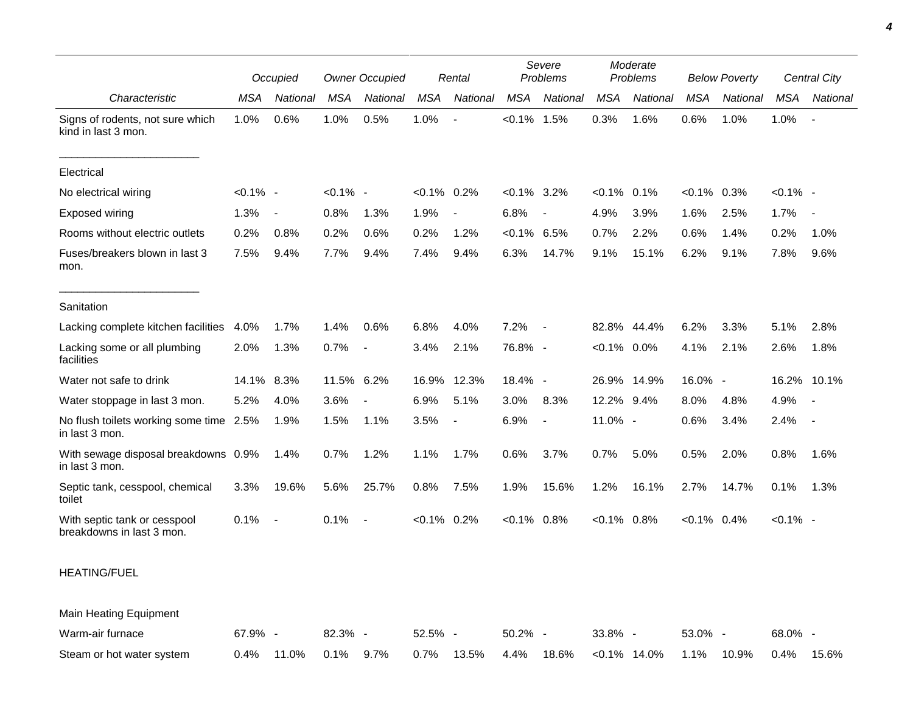|                                                           | Occupied    |                          | <b>Owner Occupied</b> |                          | Rental         |                          | Severe<br>Problems |                          | Moderate<br>Problems |                 | <b>Below Poverty</b> |          | Central City |                          |
|-----------------------------------------------------------|-------------|--------------------------|-----------------------|--------------------------|----------------|--------------------------|--------------------|--------------------------|----------------------|-----------------|----------------------|----------|--------------|--------------------------|
| Characteristic                                            | <b>MSA</b>  | National                 | MSA                   | National                 | MSA            | National                 | <b>MSA</b>         | National                 | <b>MSA</b>           | National        | <b>MSA</b>           | National | <b>MSA</b>   | National                 |
| Signs of rodents, not sure which<br>kind in last 3 mon.   | 1.0%        | 0.6%                     | 1.0%                  | 0.5%                     | 1.0%           | $\overline{\phantom{a}}$ | $< 0.1\%$ 1.5%     |                          | 0.3%                 | 1.6%            | 0.6%                 | 1.0%     | 1.0%         | $\overline{\phantom{a}}$ |
| Electrical                                                |             |                          |                       |                          |                |                          |                    |                          |                      |                 |                      |          |              |                          |
| No electrical wiring                                      | $< 0.1\%$ - |                          | $< 0.1\%$ -           |                          | $< 0.1\%$ 0.2% |                          | $< 0.1\%$ 3.2%     |                          | $< 0.1\%$            | 0.1%            | $< 0.1\%$            | 0.3%     | $< 0.1\%$ -  |                          |
| Exposed wiring                                            | 1.3%        | $\overline{\phantom{a}}$ | 0.8%                  | 1.3%                     | 1.9%           | $\blacksquare$           | 6.8%               | $\overline{\phantom{a}}$ | 4.9%                 | 3.9%            | 1.6%                 | 2.5%     | 1.7%         |                          |
| Rooms without electric outlets                            | 0.2%        | 0.8%                     | 0.2%                  | 0.6%                     | 0.2%           | 1.2%                     | $<0.1\%$ 6.5%      |                          | 0.7%                 | 2.2%            | 0.6%                 | 1.4%     | 0.2%         | 1.0%                     |
| Fuses/breakers blown in last 3<br>mon.                    | 7.5%        | 9.4%                     | 7.7%                  | 9.4%                     | 7.4%           | 9.4%                     | 6.3%               | 14.7%                    | 9.1%                 | 15.1%           | 6.2%                 | 9.1%     | 7.8%         | 9.6%                     |
| Sanitation                                                |             |                          |                       |                          |                |                          |                    |                          |                      |                 |                      |          |              |                          |
| Lacking complete kitchen facilities                       | 4.0%        | 1.7%                     | 1.4%                  | 0.6%                     | 6.8%           | 4.0%                     | 7.2%               | $\sim$                   | 82.8%                | 44.4%           | 6.2%                 | 3.3%     | 5.1%         | 2.8%                     |
| Lacking some or all plumbing<br>facilities                | 2.0%        | 1.3%                     | 0.7%                  | $\overline{\phantom{a}}$ | 3.4%           | 2.1%                     | 76.8% -            |                          | $< 0.1\%$ 0.0%       |                 | 4.1%                 | 2.1%     | 2.6%         | 1.8%                     |
| Water not safe to drink                                   | 14.1%       | 8.3%                     | 11.5%                 | 6.2%                     | 16.9%          | 12.3%                    | 18.4% -            |                          | 26.9%                | 14.9%           | 16.0% -              |          | 16.2%        | 10.1%                    |
| Water stoppage in last 3 mon.                             | 5.2%        | 4.0%                     | 3.6%                  | $\overline{\phantom{a}}$ | 6.9%           | 5.1%                     | 3.0%               | 8.3%                     | 12.2% 9.4%           |                 | 8.0%                 | 4.8%     | 4.9%         | $\overline{\phantom{a}}$ |
| No flush toilets working some time 2.5%<br>in last 3 mon. |             | 1.9%                     | 1.5%                  | 1.1%                     | 3.5%           | $\blacksquare$           | 6.9%               | $\overline{\phantom{a}}$ | 11.0% -              |                 | 0.6%                 | 3.4%     | 2.4%         | $\sim$                   |
| With sewage disposal breakdowns 0.9%<br>in last 3 mon.    |             | 1.4%                     | 0.7%                  | 1.2%                     | 1.1%           | 1.7%                     | 0.6%               | 3.7%                     | 0.7%                 | 5.0%            | 0.5%                 | 2.0%     | 0.8%         | 1.6%                     |
| Septic tank, cesspool, chemical<br>toilet                 | 3.3%        | 19.6%                    | 5.6%                  | 25.7%                    | 0.8%           | 7.5%                     | 1.9%               | 15.6%                    | 1.2%                 | 16.1%           | 2.7%                 | 14.7%    | 0.1%         | 1.3%                     |
| With septic tank or cesspool<br>breakdowns in last 3 mon. | 0.1%        | $\overline{\phantom{a}}$ | 0.1%                  | $\overline{\phantom{a}}$ | $< 0.1\%$      | 0.2%                     | $< 0.1\%$ 0.8%     |                          | $< 0.1\%$            | $0.8\%$         | $< 0.1\%$ 0.4%       |          | $< 0.1\%$ -  |                          |
| <b>HEATING/FUEL</b>                                       |             |                          |                       |                          |                |                          |                    |                          |                      |                 |                      |          |              |                          |
| Main Heating Equipment                                    |             |                          |                       |                          |                |                          |                    |                          |                      |                 |                      |          |              |                          |
| Warm-air furnace                                          | 67.9% -     |                          | 82.3% -               |                          | 52.5% -        |                          | 50.2% -            |                          | 33.8% -              |                 | 53.0% -              |          | 68.0% -      |                          |
| Steam or hot water system                                 | 0.4%        | 11.0%                    | 0.1%                  | 9.7%                     | 0.7%           | 13.5%                    | 4.4%               | 18.6%                    |                      | $< 0.1\%$ 14.0% | 1.1%                 | 10.9%    | 0.4%         | 15.6%                    |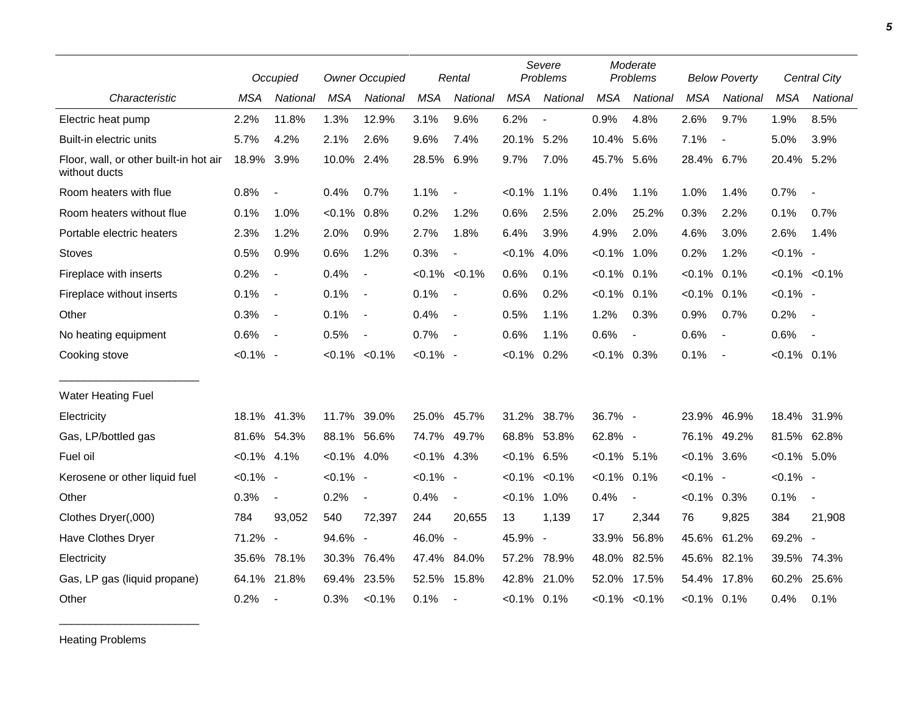|                                                         |                | Occupied                 |                | <b>Owner Occupied</b>    |                | Rental                   |                | Severe<br>Problems  |                | Moderate<br>Problems     |                | <b>Below Poverty</b>     |                | <b>Central City</b>      |  |
|---------------------------------------------------------|----------------|--------------------------|----------------|--------------------------|----------------|--------------------------|----------------|---------------------|----------------|--------------------------|----------------|--------------------------|----------------|--------------------------|--|
| Characteristic                                          | <b>MSA</b>     | National                 | <b>MSA</b>     | National                 | <b>MSA</b>     | National                 | <b>MSA</b>     | National            | <b>MSA</b>     | National                 | <b>MSA</b>     | National                 | <b>MSA</b>     | National                 |  |
| Electric heat pump                                      | 2.2%           | 11.8%                    | 1.3%           | 12.9%                    | 3.1%           | 9.6%                     | 6.2%           | $\sim$              | 0.9%           | 4.8%                     | 2.6%           | 9.7%                     | 1.9%           | 8.5%                     |  |
| Built-in electric units                                 | 5.7%           | 4.2%                     | 2.1%           | 2.6%                     | 9.6%           | 7.4%                     | 20.1% 5.2%     |                     | 10.4%          | 5.6%                     | 7.1%           | $\blacksquare$           | 5.0%           | 3.9%                     |  |
| Floor, wall, or other built-in hot air<br>without ducts | 18.9%          | 3.9%                     | 10.0%          | 2.4%                     | 28.5%          | 6.9%                     | 9.7%           | 7.0%                | 45.7% 5.6%     |                          | 28.4% 6.7%     |                          | 20.4% 5.2%     |                          |  |
| Room heaters with flue                                  | 0.8%           | $\overline{\phantom{a}}$ | 0.4%           | 0.7%                     | 1.1%           | $\blacksquare$           | $< 0.1\%$      | 1.1%                | 0.4%           | 1.1%                     | 1.0%           | 1.4%                     | 0.7%           | $\overline{\phantom{a}}$ |  |
| Room heaters without flue                               | 0.1%           | 1.0%                     | $< 0.1\%$      | 0.8%                     | 0.2%           | 1.2%                     | 0.6%           | 2.5%                | 2.0%           | 25.2%                    | 0.3%           | 2.2%                     | 0.1%           | 0.7%                     |  |
| Portable electric heaters                               | 2.3%           | 1.2%                     | 2.0%           | 0.9%                     | 2.7%           | 1.8%                     | 6.4%           | 3.9%                | 4.9%           | 2.0%                     | 4.6%           | 3.0%                     | 2.6%           | 1.4%                     |  |
| <b>Stoves</b>                                           | 0.5%           | 0.9%                     | 0.6%           | 1.2%                     | 0.3%           | $\overline{a}$           | $< 0.1\%$      | 4.0%                | $< 0.1\%$      | $1.0\%$                  | 0.2%           | 1.2%                     | $< 0.1\%$ -    |                          |  |
| Fireplace with inserts                                  | 0.2%           | $\blacksquare$           | 0.4%           | $\blacksquare$           |                | $< 0.1\%$ $< 0.1\%$      | 0.6%           | 0.1%                | $< 0.1\%$      | 0.1%                     | $< 0.1\%$ 0.1% |                          |                | $< 0.1\%$ $< 0.1\%$      |  |
| Fireplace without inserts                               | 0.1%           | $\overline{\phantom{a}}$ | 0.1%           | $\overline{\phantom{a}}$ | 0.1%           | $\blacksquare$           | 0.6%           | 0.2%                | $< 0.1\%$      | 0.1%                     | $< 0.1\%$      | 0.1%                     | $< 0.1\%$ -    |                          |  |
| Other                                                   | 0.3%           | $\overline{\phantom{a}}$ | 0.1%           | $\overline{\phantom{a}}$ | 0.4%           | $\overline{\phantom{a}}$ | 0.5%           | 1.1%                | 1.2%           | 0.3%                     | 0.9%           | 0.7%                     | 0.2%           | $\sim$ $-$               |  |
| No heating equipment                                    | 0.6%           | $\sim$                   | 0.5%           | $\overline{\phantom{a}}$ | 0.7%           | $\blacksquare$           | 0.6%           | 1.1%                | 0.6%           | $\overline{\phantom{a}}$ | 0.6%           | $\blacksquare$           | 0.6%           | $\sim$                   |  |
| Cooking stove                                           | $< 0.1\%$ -    |                          |                | $< 0.1\% < 0.1\%$        | $< 0.1\%$ -    |                          | $< 0.1\%$      | 0.2%                | $< 0.1\%$ 0.3% |                          | 0.1%           | $\overline{\phantom{a}}$ | $< 0.1\%$ 0.1% |                          |  |
| Water Heating Fuel                                      |                |                          |                |                          |                |                          |                |                     |                |                          |                |                          |                |                          |  |
| Electricity                                             | 18.1%          | 41.3%                    | 11.7%          | 39.0%                    |                | 25.0% 45.7%              | 31.2%          | 38.7%               | 36.7% -        |                          | 23.9%          | 46.9%                    | 18.4%          | 31.9%                    |  |
| Gas, LP/bottled gas                                     |                | 81.6% 54.3%              | 88.1% 56.6%    |                          |                | 74.7% 49.7%              | 68.8%          | 53.8%               | 62.8% -        |                          | 76.1%          | 49.2%                    |                | 81.5% 62.8%              |  |
| Fuel oil                                                | $< 0.1\%$ 4.1% |                          | $< 0.1\%$ 4.0% |                          | $< 0.1\%$ 4.3% |                          | $< 0.1\%$ 6.5% |                     | $< 0.1\%$ 5.1% |                          | $< 0.1\%$ 3.6% |                          | $< 0.1\%$ 5.0% |                          |  |
| Kerosene or other liquid fuel                           | $< 0.1\%$ -    |                          | $< 0.1\%$ -    |                          | $< 0.1\%$ -    |                          |                | $< 0.1\%$ $< 0.1\%$ | $< 0.1\%$      | 0.1%                     | $< 0.1\%$ -    |                          | $< 0.1\%$ -    |                          |  |
| Other                                                   | 0.3%           | $\blacksquare$           | 0.2%           | $\overline{\phantom{a}}$ | 0.4%           | $\overline{\phantom{a}}$ | $< 0.1\%$      | 1.0%                | 0.4%           | $\overline{\phantom{a}}$ | $< 0.1\%$ 0.3% |                          | 0.1%           | $\overline{\phantom{a}}$ |  |
| Clothes Dryer(,000)                                     | 784            | 93,052                   | 540            | 72,397                   | 244            | 20,655                   | 13             | 1,139               | 17             | 2,344                    | 76             | 9,825                    | 384            | 21,908                   |  |
| Have Clothes Dryer                                      | 71.2% -        |                          | 94.6%          | $\overline{\phantom{a}}$ | 46.0% -        |                          | 45.9% -        |                     | 33.9%          | 56.8%                    | 45.6% 61.2%    |                          | 69.2% -        |                          |  |
| Electricity                                             | 35.6%          | 78.1%                    | 30.3%          | 76.4%                    | 47.4%          | 84.0%                    | 57.2%          | 78.9%               | 48.0%          | 82.5%                    | 45.6%          | 82.1%                    | 39.5%          | 74.3%                    |  |
| Gas, LP gas (liquid propane)                            | 64.1%          | 21.8%                    | 69.4%          | 23.5%                    |                | 52.5% 15.8%              | 42.8%          | 21.0%               |                | 52.0% 17.5%              | 54.4%          | 17.8%                    | 60.2%          | 25.6%                    |  |
| Other                                                   | 0.2%           | $\blacksquare$           | 0.3%           | < 0.1%                   | 0.1%           | $\blacksquare$           | $< 0.1\%$ 0.1% |                     |                | $< 0.1\%$ $< 0.1\%$      | $< 0.1\%$ 0.1% |                          | 0.4%           | 0.1%                     |  |

Heating Problems

\_\_\_\_\_\_\_\_\_\_\_\_\_\_\_\_\_\_\_\_\_\_\_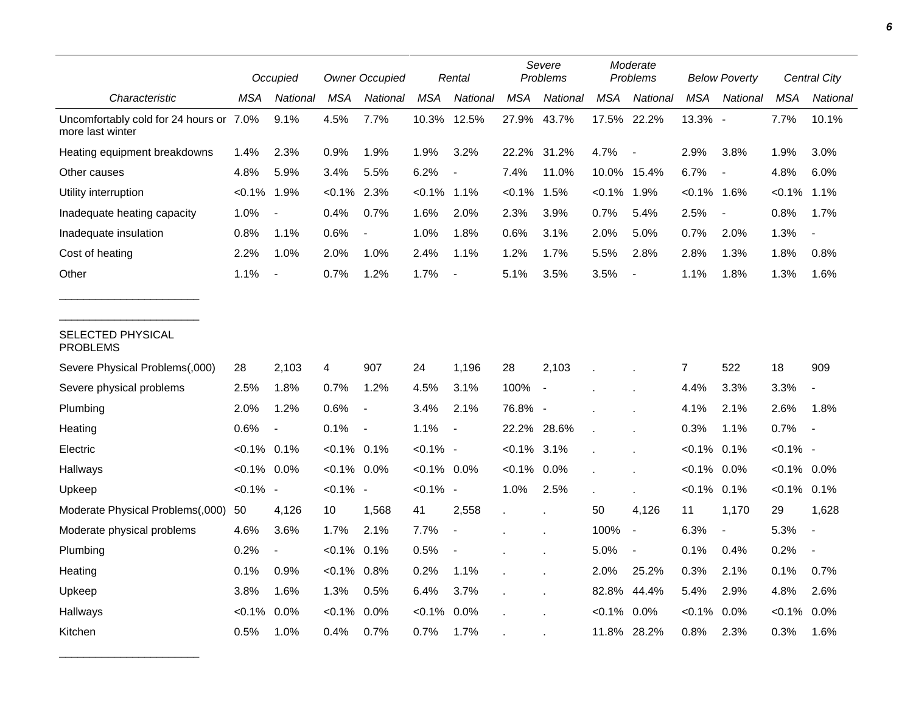|                                                             |                | Occupied                 |                | <b>Owner Occupied</b>    |                | Rental                   |                | Severe<br>Problems       |            | Moderate<br>Problems     |                | <b>Below Poverty</b>     |                | Central City             |
|-------------------------------------------------------------|----------------|--------------------------|----------------|--------------------------|----------------|--------------------------|----------------|--------------------------|------------|--------------------------|----------------|--------------------------|----------------|--------------------------|
| Characteristic                                              | MSA            | National                 | <b>MSA</b>     | National                 | <b>MSA</b>     | National                 | <b>MSA</b>     | National                 | <b>MSA</b> | National                 | <b>MSA</b>     | National                 | <b>MSA</b>     | National                 |
| Uncomfortably cold for 24 hours or 7.0%<br>more last winter |                | 9.1%                     | 4.5%           | 7.7%                     |                | 10.3% 12.5%              | 27.9%          | 43.7%                    |            | 17.5% 22.2%              | 13.3% -        |                          | 7.7%           | 10.1%                    |
| Heating equipment breakdowns                                | 1.4%           | 2.3%                     | 0.9%           | 1.9%                     | 1.9%           | 3.2%                     | 22.2% 31.2%    |                          | 4.7%       |                          | 2.9%           | 3.8%                     | 1.9%           | 3.0%                     |
| Other causes                                                | 4.8%           | 5.9%                     | 3.4%           | 5.5%                     | 6.2%           | $\overline{a}$           | 7.4%           | 11.0%                    | 10.0%      | 15.4%                    | 6.7%           | $\overline{\phantom{a}}$ | 4.8%           | 6.0%                     |
| Utility interruption                                        | $< 0.1\%$      | 1.9%                     | $< 0.1\%$      | 2.3%                     | $< 0.1\%$      | 1.1%                     | $< 0.1\%$      | 1.5%                     | $< 0.1\%$  | 1.9%                     | $< 0.1\%$ 1.6% |                          | $<0.1\%$       | 1.1%                     |
| Inadequate heating capacity                                 | 1.0%           | $\blacksquare$           | 0.4%           | 0.7%                     | 1.6%           | 2.0%                     | 2.3%           | 3.9%                     | 0.7%       | 5.4%                     | 2.5%           | $\overline{\phantom{a}}$ | 0.8%           | 1.7%                     |
| Inadequate insulation                                       | 0.8%           | 1.1%                     | 0.6%           | $\overline{\phantom{a}}$ | 1.0%           | 1.8%                     | 0.6%           | 3.1%                     | 2.0%       | 5.0%                     | 0.7%           | 2.0%                     | 1.3%           | $\overline{\phantom{a}}$ |
| Cost of heating                                             | 2.2%           | 1.0%                     | 2.0%           | 1.0%                     | 2.4%           | 1.1%                     | 1.2%           | 1.7%                     | 5.5%       | 2.8%                     | 2.8%           | 1.3%                     | 1.8%           | 0.8%                     |
| Other                                                       | 1.1%           | $\overline{\phantom{a}}$ | 0.7%           | 1.2%                     | 1.7%           | $\overline{\phantom{a}}$ | 5.1%           | 3.5%                     | 3.5%       | $\overline{\phantom{a}}$ | 1.1%           | 1.8%                     | 1.3%           | 1.6%                     |
| SELECTED PHYSICAL<br><b>PROBLEMS</b>                        |                |                          |                |                          |                |                          |                |                          |            |                          |                |                          |                |                          |
| Severe Physical Problems(,000)                              | 28             | 2,103                    | 4              | 907                      | 24             | 1,196                    | 28             | 2,103                    |            |                          | $\overline{7}$ | 522                      | 18             | 909                      |
| Severe physical problems                                    | 2.5%           | 1.8%                     | 0.7%           | 1.2%                     | 4.5%           | 3.1%                     | 100%           | $\overline{\phantom{a}}$ |            |                          | 4.4%           | 3.3%                     | 3.3%           | $\blacksquare$           |
| Plumbing                                                    | 2.0%           | 1.2%                     | 0.6%           | $\blacksquare$           | 3.4%           | 2.1%                     | 76.8% -        |                          |            |                          | 4.1%           | 2.1%                     | 2.6%           | 1.8%                     |
| Heating                                                     | 0.6%           | $\overline{\phantom{a}}$ | 0.1%           | $\overline{\phantom{a}}$ | 1.1%           | $\overline{\phantom{a}}$ | 22.2%          | 28.6%                    |            |                          | 0.3%           | 1.1%                     | 0.7%           | $\blacksquare$           |
| Electric                                                    | $< 0.1\%$ 0.1% |                          | $< 0.1\%$ 0.1% |                          | $< 0.1\%$ -    |                          | $< 0.1\%$ 3.1% |                          |            |                          | $< 0.1\%$      | 0.1%                     | $< 0.1\%$ -    |                          |
| Hallways                                                    | $< 0.1\%$ 0.0% |                          | $< 0.1\%$      | $0.0\%$                  | $< 0.1\%$ 0.0% |                          | $< 0.1\%$      | $0.0\%$                  |            |                          | $< 0.1\%$      | $0.0\%$                  | $< 0.1\%$ 0.0% |                          |
| Upkeep                                                      | $< 0.1\%$ -    |                          | $< 0.1\%$ -    |                          | $< 0.1\%$ -    |                          | 1.0%           | 2.5%                     |            |                          | $< 0.1\%$ 0.1% |                          | $< 0.1\%$      | 0.1%                     |
| Moderate Physical Problems(,000)                            | 50             | 4,126                    | 10             | 1,568                    | 41             | 2,558                    |                |                          | 50         | 4,126                    | 11             | 1,170                    | 29             | 1,628                    |
| Moderate physical problems                                  | 4.6%           | 3.6%                     | 1.7%           | 2.1%                     | 7.7%           | $\overline{\phantom{a}}$ |                |                          | 100%       | $\blacksquare$           | 6.3%           | $\blacksquare$           | 5.3%           | $\blacksquare$           |
| Plumbing                                                    | 0.2%           | $\overline{\phantom{a}}$ | $< 0.1\%$      | 0.1%                     | 0.5%           |                          |                |                          | 5.0%       | $\blacksquare$           | 0.1%           | 0.4%                     | 0.2%           |                          |
| Heating                                                     | 0.1%           | 0.9%                     | $< 0.1\%$      | 0.8%                     | 0.2%           | 1.1%                     |                |                          | 2.0%       | 25.2%                    | 0.3%           | 2.1%                     | 0.1%           | 0.7%                     |
| Upkeep                                                      | 3.8%           | 1.6%                     | 1.3%           | 0.5%                     | 6.4%           | 3.7%                     |                |                          | 82.8%      | 44.4%                    | 5.4%           | 2.9%                     | 4.8%           | 2.6%                     |
| Hallways                                                    | $< 0.1\%$      | 0.0%                     | $< 0.1\%$      | 0.0%                     | $< 0.1\%$      | 0.0%                     |                |                          | $< 0.1\%$  | 0.0%                     | $< 0.1\%$      | 0.0%                     | $< 0.1\%$      | 0.0%                     |
| Kitchen                                                     | 0.5%           | 1.0%                     | 0.4%           | 0.7%                     | 0.7%           | 1.7%                     |                |                          |            | 11.8% 28.2%              | 0.8%           | 2.3%                     | 0.3%           | 1.6%                     |

\_\_\_\_\_\_\_\_\_\_\_\_\_\_\_\_\_\_\_\_\_\_\_